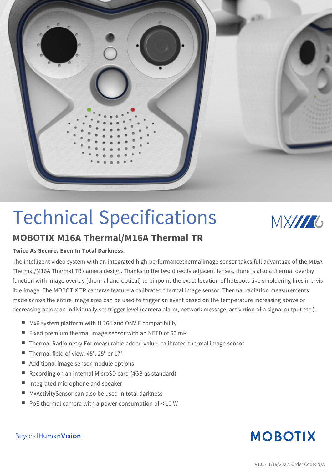

# Technical Specifications

### **MOBOTIX M16A Thermal/M16A Thermal TR**

#### **Twice As Secure. Even In Total Darkness.**

The intelligent video system with an integrated high-performancethermalimage sensor takes full advantage of the M16A Thermal/M16A Thermal TR camera design. Thanks to the two directly adjacent lenses, there is also a thermal overlay function with image overlay (thermal and optical) to pinpoint the exact location of hotspots like smoldering fires in a visible image. The MOBOTIX TR cameras feature a calibrated thermal image sensor. Thermal radiation measurements made across the entire image area can be used to trigger an event based on the temperature increasing above or decreasing below an individually set trigger level (camera alarm, network message, activation of a signal output etc.).

- Mx6 system platform with H.264 and ONVIF compatibility
- Fixed premium thermal image sensor with an NETD of 50 mK
- Thermal Radiometry For measurable added value: calibrated thermal image sensor
- Thermal field of view: 45°, 25° or 17°
- Additional image sensor module options
- Recording on an internal MicroSD card (4GB as standard)
- Integrated microphone and speaker
- <sup>n</sup> MxActivitySensor can also be used in total darkness
- $\blacksquare$  PoE thermal camera with a power consumption of  $\lt 10$  W

# **MOBOTIX**

Beyond Human Vision

MX///6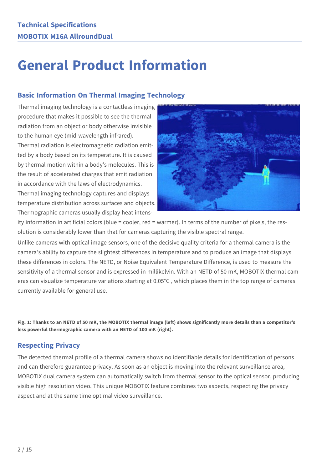# **General Product Information**

#### **Basic Information On Thermal Imaging Technology**

Thermal imaging technology is a contactless imaging procedure that makes it possible to see the thermal radiation from an object or body otherwise invisible to the human eye (mid-wavelength infrared). Thermal radiation is electromagnetic radiation emitted by a body based on its temperature. It is caused by thermal motion within a body's molecules. This is the result of accelerated charges that emit radiation in accordance with the laws of electrodynamics. Thermal imaging technology captures and displays temperature distribution across surfaces and objects. Thermographic cameras usually display heat intens-



ity information in artificial colors (blue = cooler, red = warmer). In terms of the number of pixels, the resolution is considerably lower than that for cameras capturing the visible spectral range.

Unlike cameras with optical image sensors, one of the decisive quality criteria for a thermal camera is the camera's ability to capture the slightest differences in temperature and to produce an image that displays these differences in colors. The NETD, or Noise Equivalent Temperature Difference, is used to measure the sensitivity of a thermal sensor and is expressed in millikelvin. With an NETD of 50 mK, MOBOTIX thermal cameras can visualize temperature variations starting at 0.05°C , which places them in the top range of cameras currently available for general use.

**Fig. 1: Thanks to an NETD of 50 mK, the MOBOTIX thermal image (left) shows significantly more details than a competitor's less powerful thermographic camera with an NETD of 100 mK (right).**

#### **Respecting Privacy**

The detected thermal profile of a thermal camera shows no identifiable details for identification of persons and can therefore guarantee privacy. As soon as an object is moving into the relevant surveillance area, MOBOTIX dual camera system can automatically switch from thermal sensor to the optical sensor, producing visible high resolution video. This unique MOBOTIX feature combines two aspects, respecting the privacy aspect and at the same time optimal video surveillance.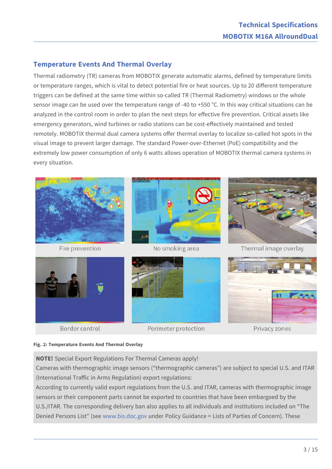#### **Temperature Events And Thermal Overlay**

Thermal radiometry (TR) cameras from MOBOTIX generate automatic alarms, defined by temperature limits or temperature ranges, which is vital to detect potential fire or heat sources. Up to 20 different temperature triggers can be defined at the same time within so-called TR (Thermal Radiometry) windows or the whole sensor image can be used over the temperature range of -40 to +550 °C. In this way critical situations can be analyzed in the control room in order to plan the next steps for effective fire prevention. Critical assets like emergency generators, wind turbines or radio stations can be cost-effectively maintained and tested remotely. MOBOTIX thermal dual camera systems offer thermal overlay to localize so-called hot spots in the visual image to prevent larger damage. The standard Power-over-Ethernet (PoE) compatibility and the extremely low power consumption of only 6 watts allows operation of MOBOTIX thermal camera systems in every situation.



Fire prevention



No smoking area



Thermal image overlay



#### **Fig. 2: Temperature Events And Thermal Overlay**

**NOTE!** Special Export Regulations For Thermal Cameras apply!

Cameras with thermographic image sensors ("thermographic cameras") are subject to special U.S. and ITAR (International Traffic in Arms Regulation) export regulations:

According to currently valid export regulations from the U.S. and ITAR, cameras with thermographic image sensors or their component parts cannot be exported to countries that have been embargoed by the U.S./ITAR. The corresponding delivery ban also applies to all individuals and institutions included on "The Denied Persons List" (see [www.bis.doc.gov](http://www.bis.doc.gov/) under Policy Guidance > Lists of Parties of Concern). These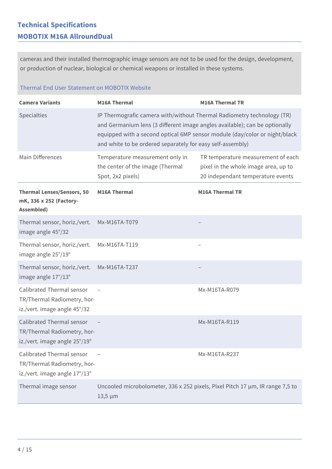cameras and their installed thermographic image sensors are not to be used for the design, development, or production of nuclear, biological or chemical weapons or installed in these systems.

#### [Thermal End User Statement on MOBOTIX Website](https://www.mobotix.com/sites/default/files/2018-02/Mx_ThermalEndUserStatement_en_interactive_20180222_0.pdf)

| <b>Camera Variants</b>                                                                           | <b>M16A Thermal</b>                                                                                                                                                                                                                                                                              | <b>M16A Thermal TR</b>                                                                                          |
|--------------------------------------------------------------------------------------------------|--------------------------------------------------------------------------------------------------------------------------------------------------------------------------------------------------------------------------------------------------------------------------------------------------|-----------------------------------------------------------------------------------------------------------------|
| Specialties                                                                                      | IP Thermografic camera with/without Thermal Radiometry technology (TR)<br>and Germanium lens (3 different image angles available); can be optionally<br>equipped with a second optical 6MP sensor module (day/color or night/black<br>and white to be ordered separately for easy self-assembly) |                                                                                                                 |
| Main Differences                                                                                 | Temperature measurement only in<br>the center of the image (Thermal<br>Spot, 2x2 pixels)                                                                                                                                                                                                         | TR temperature measurement of each<br>pixel in the whole image area, up to<br>20 independant temperature events |
| <b>Thermal Lenses/Sensors, 50</b><br>mK, 336 x 252 (Factory-<br>Assembled)                       | <b>M16A Thermal</b>                                                                                                                                                                                                                                                                              | <b>M16A Thermal TR</b>                                                                                          |
| Thermal sensor, horiz./vert.<br>image angle 45°/32                                               | Mx-M16TA-T079                                                                                                                                                                                                                                                                                    |                                                                                                                 |
| Thermal sensor, horiz./vert.<br>image angle 25°/19°                                              | Mx-M16TA-T119                                                                                                                                                                                                                                                                                    |                                                                                                                 |
| Thermal sensor, horiz./vert.<br>image angle 17°/13°                                              | Mx-M16TA-T237                                                                                                                                                                                                                                                                                    |                                                                                                                 |
| <b>Calibrated Thermal sensor</b><br>TR/Thermal Radiometry, hor-<br>iz./vert. image angle 45°/32  |                                                                                                                                                                                                                                                                                                  | Mx-M16TA-R079                                                                                                   |
| <b>Calibrated Thermal sensor</b><br>TR/Thermal Radiometry, hor-<br>iz./vert. image angle 25°/19° |                                                                                                                                                                                                                                                                                                  | Mx-M16TA-R119                                                                                                   |
| <b>Calibrated Thermal sensor</b><br>TR/Thermal Radiometry, hor-<br>iz./vert. image angle 17°/13° |                                                                                                                                                                                                                                                                                                  | Mx-M16TA-R237                                                                                                   |
| Thermal image sensor                                                                             | $13,5 \mu m$                                                                                                                                                                                                                                                                                     | Uncooled microbolometer, 336 x 252 pixels, Pixel Pitch 17 µm, IR range 7,5 to                                   |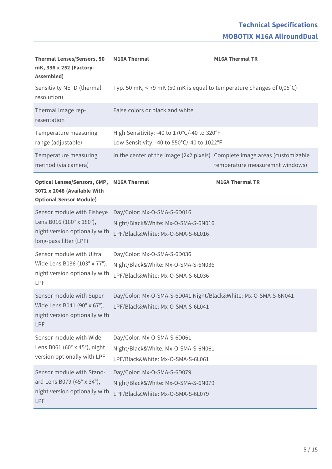| <b>Thermal Lenses/Sensors, 50</b><br>mK, 336 x 252 (Factory-<br>Assembled)                                        | <b>M16A Thermal</b>                                                                                     | <b>M16A Thermal TR</b>          |
|-------------------------------------------------------------------------------------------------------------------|---------------------------------------------------------------------------------------------------------|---------------------------------|
| Sensitivity NETD (thermal<br>resolution)                                                                          | Typ. 50 mK, < 79 mK (50 mK is equal to temperature changes of $0,05^{\circ}$ C)                         |                                 |
| Thermal image rep-<br>resentation                                                                                 | False colors or black and white                                                                         |                                 |
| Temperature measuring<br>range (adjustable)                                                                       | High Sensitivity: -40 to 170°C/-40 to 320°F<br>Low Sensitivity: -40 to 550°C/-40 to 1022°F              |                                 |
| Temperature measuring<br>method (via camera)                                                                      | In the center of the image (2x2 pixels) Complete image areas (customizable                              | temperature measuremnt windows) |
| <b>Optical Lenses/Sensors, 6MP,</b><br>3072 x 2048 (Available With<br><b>Optional Sensor Module)</b>              | <b>M16A Thermal</b>                                                                                     | <b>M16A Thermal TR</b>          |
| Sensor module with Fisheye<br>Lens B016 (180° x 180°),<br>night version optionally with<br>long-pass filter (LPF) | Day/Color: Mx-O-SMA-S-6D016<br>Night/Black&White: Mx-O-SMA-S-6N016<br>LPF/Black&White: Mx-O-SMA-S-6L016 |                                 |
| Sensor module with Ultra<br>Wide Lens B036 (103° x 77°),<br>night version optionally with<br>LPF                  | Day/Color: Mx-O-SMA-S-6D036<br>Night/Black&White: Mx-O-SMA-S-6N036<br>LPF/Black&White: Mx-O-SMA-S-6L036 |                                 |
| Sensor module with Super<br>Wide Lens B041 (90° x 67°),<br>night version optionally with<br>LPF                   | Day/Color: Mx-O-SMA-S-6D041 Night/Black&White: Mx-O-SMA-S-6N041<br>LPF/Black&White: Mx-O-SMA-S-6L041    |                                 |
| Sensor module with Wide<br>Lens B061 (60 $\degree$ x 45 $\degree$ ), night<br>version optionally with LPF         | Day/Color: Mx-O-SMA-S-6D061<br>Night/Black&White: Mx-O-SMA-S-6N061<br>LPF/Black&White: Mx-O-SMA-S-6L061 |                                 |
| Sensor module with Stand-<br>ard Lens B079 (45° x 34°),<br>night version optionally with<br>LPF                   | Day/Color: Mx-O-SMA-S-6D079<br>Night/Black&White: Mx-O-SMA-S-6N079<br>LPF/Black&White: Mx-O-SMA-S-6L079 |                                 |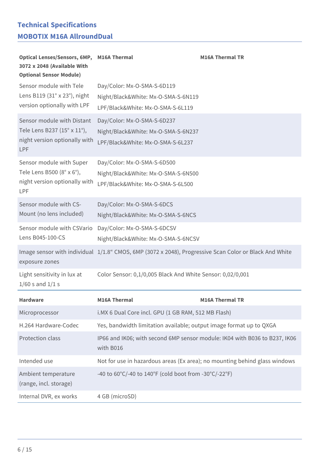### **Technical Specifications MOBOTIX M16A AllroundDual**

| Optical Lenses/Sensors, 6MP, M16A Thermal<br>3072 x 2048 (Available With<br><b>Optional Sensor Module)</b> |                                                                                                         | <b>M16A Thermal TR</b> |
|------------------------------------------------------------------------------------------------------------|---------------------------------------------------------------------------------------------------------|------------------------|
| Sensor module with Tele<br>Lens B119 $(31^\circ \times 23^\circ)$ , night<br>version optionally with LPF   | Day/Color: Mx-O-SMA-S-6D119<br>Night/Black&White: Mx-O-SMA-S-6N119<br>LPF/Black&White: Mx-O-SMA-S-6L119 |                        |
| Sensor module with Distant<br>Tele Lens B237 (15° x 11°),<br>night version optionally with<br><b>LPF</b>   | Day/Color: Mx-O-SMA-S-6D237<br>Night/Black&White: Mx-O-SMA-S-6N237<br>LPF/Black&White: Mx-O-SMA-S-6L237 |                        |
| Sensor module with Super<br>Tele Lens B500 (8° x 6°),<br>night version optionally with<br>LPF              | Day/Color: Mx-O-SMA-S-6D500<br>Night/Black&White: Mx-O-SMA-S-6N500<br>LPF/Black&White: Mx-O-SMA-S-6L500 |                        |
| Sensor module with CS-<br>Mount (no lens included)                                                         | Day/Color: Mx-O-SMA-S-6DCS<br>Night/Black&White: Mx-O-SMA-S-6NCS                                        |                        |
| Sensor module with CSVario<br>Lens B045-100-CS                                                             | Day/Color: Mx-O-SMA-S-6DCSV<br>Night/Black&White: Mx-O-SMA-S-6NCSV                                      |                        |
| exposure zones                                                                                             | Image sensor with individual 1/1.8" CMOS, 6MP (3072 x 2048), Progressive Scan Color or Black And White  |                        |
| Light sensitivity in lux at<br>$1/60$ s and $1/1$ s                                                        | Color Sensor: 0,1/0,005 Black And White Sensor: 0,02/0,001                                              |                        |
| <b>Hardware</b>                                                                                            | <b>M16A Thermal</b>                                                                                     | <b>M16A Thermal TR</b> |
| Microprocessor                                                                                             | i.MX 6 Dual Core incl. GPU (1 GB RAM, 512 MB Flash)                                                     |                        |
| H.264 Hardware-Codec                                                                                       | Yes, bandwidth limitation available; output image format up to QXGA                                     |                        |
| Protection class                                                                                           | IP66 and IK06; with second 6MP sensor module: IK04 with B036 to B237, IK06<br>with B016                 |                        |
| Intended use                                                                                               | Not for use in hazardous areas (Ex area); no mounting behind glass windows                              |                        |
| Ambient temperature<br>(range, incl. storage)                                                              | -40 to 60°C/-40 to 140°F (cold boot from -30°C/-22°F)                                                   |                        |
| Internal DVR, ex works                                                                                     | 4 GB (microSD)                                                                                          |                        |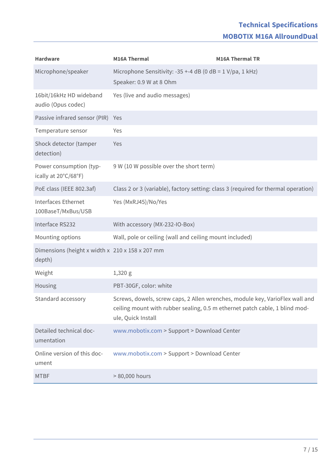| <b>Hardware</b>                                           | <b>M16A Thermal</b>                                                                               | <b>M16A Thermal TR</b>                                                             |
|-----------------------------------------------------------|---------------------------------------------------------------------------------------------------|------------------------------------------------------------------------------------|
| Microphone/speaker                                        | Microphone Sensitivity: -35 +-4 dB (0 dB = $1 V/pa$ , 1 kHz)<br>Speaker: 0.9 W at 8 Ohm           |                                                                                    |
| 16bit/16kHz HD wideband<br>audio (Opus codec)             | Yes (live and audio messages)                                                                     |                                                                                    |
| Passive infrared sensor (PIR) Yes                         |                                                                                                   |                                                                                    |
| Temperature sensor                                        | Yes                                                                                               |                                                                                    |
| Shock detector (tamper<br>detection)                      | Yes                                                                                               |                                                                                    |
| Power consumption (typ-<br>ically at 20°C/68°F)           | 9 W (10 W possible over the short term)                                                           |                                                                                    |
| PoE class (IEEE 802.3af)                                  |                                                                                                   | Class 2 or 3 (variable), factory setting: class 3 (required for thermal operation) |
| <b>Interfaces Ethernet</b><br>100BaseT/MxBus/USB          | Yes (MxRJ45)/No/Yes                                                                               |                                                                                    |
| Interface RS232                                           | With accessory (MX-232-IO-Box)                                                                    |                                                                                    |
| Mounting options                                          | Wall, pole or ceiling (wall and ceiling mount included)                                           |                                                                                    |
| Dimensions (height x width x 210 x 158 x 207 mm<br>depth) |                                                                                                   |                                                                                    |
| Weight                                                    | $1,320$ g                                                                                         |                                                                                    |
| Housing                                                   | PBT-30GF, color: white                                                                            |                                                                                    |
| Standard accessory                                        | ceiling mount with rubber sealing, 0.5 m ethernet patch cable, 1 blind mod-<br>ule, Quick Install | Screws, dowels, screw caps, 2 Allen wrenches, module key, VarioFlex wall and       |
| Detailed technical doc-<br>umentation                     | www.mobotix.com > Support > Download Center                                                       |                                                                                    |
| Online version of this doc-<br>ument                      | www.mobotix.com > Support > Download Center                                                       |                                                                                    |
| <b>MTBF</b>                                               | > 80,000 hours                                                                                    |                                                                                    |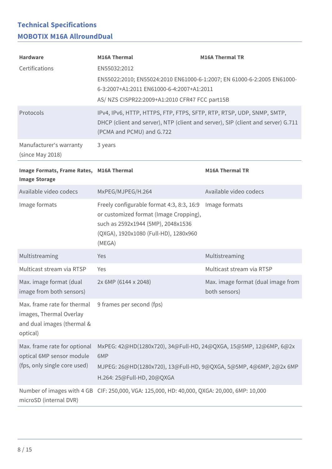# **Technical Specifications MOBOTIX M16A AllroundDual**

| <b>Hardware</b>                             | <b>M16A Thermal</b>                                                                                                                                                                    | <b>M16A Thermal TR</b> |
|---------------------------------------------|----------------------------------------------------------------------------------------------------------------------------------------------------------------------------------------|------------------------|
| Certifications                              | EN55032:2012                                                                                                                                                                           |                        |
|                                             | EN55022:2010; EN55024:2010 EN61000-6-1:2007; EN 61000-6-2:2005 EN61000-                                                                                                                |                        |
|                                             | 6-3:2007+A1:2011 EN61000-6-4:2007+A1:2011                                                                                                                                              |                        |
|                                             | AS/ NZS CISPR22:2009+A1:2010 CFR47 FCC part15B                                                                                                                                         |                        |
| Protocols                                   | IPv4, IPv6, HTTP, HTTPS, FTP, FTPS, SFTP, RTP, RTSP, UDP, SNMP, SMTP,<br>DHCP (client and server), NTP (client and server), SIP (client and server) G.711<br>(PCMA and PCMU) and G.722 |                        |
| Manufacturer's warranty<br>(since May 2018) | 3 years                                                                                                                                                                                |                        |

| Image Formats, Frame Rates, M16A Thermal<br><b>Image Storage</b>                                 |                                                                                                                                                                              | <b>M16A Thermal TR</b>                              |
|--------------------------------------------------------------------------------------------------|------------------------------------------------------------------------------------------------------------------------------------------------------------------------------|-----------------------------------------------------|
| Available video codecs                                                                           | MxPEG/MJPEG/H.264                                                                                                                                                            | Available video codecs                              |
| Image formats                                                                                    | Freely configurable format 4:3, 8:3, 16:9<br>or customized format (Image Cropping),<br>such as 2592x1944 (5MP), 2048x1536<br>(QXGA), 1920x1080 (Full-HD), 1280x960<br>(MEGA) | Image formats                                       |
| Multistreaming                                                                                   | Yes                                                                                                                                                                          | Multistreaming                                      |
| Multicast stream via RTSP                                                                        | Yes                                                                                                                                                                          | Multicast stream via RTSP                           |
| Max. image format (dual<br>image from both sensors)                                              | 2x 6MP (6144 x 2048)                                                                                                                                                         | Max. image format (dual image from<br>both sensors) |
| Max. frame rate for thermal<br>images, Thermal Overlay<br>and dual images (thermal &<br>optical) | 9 frames per second (fps)                                                                                                                                                    |                                                     |
| Max. frame rate for optional<br>optical 6MP sensor module<br>(fps, only single core used)        | MxPEG: 42@HD(1280x720), 34@Full-HD, 24@QXGA, 15@5MP, 12@6MP, 6@2x<br>6MP<br>MJPEG: 26@HD(1280x720), 13@Full-HD, 9@QXGA, 5@5MP, 4@6MP, 2@2x 6MP<br>H.264: 25@Full-HD, 20@QXGA |                                                     |
| microSD (internal DVR)                                                                           | Number of images with 4 GB CIF: 250,000, VGA: 125,000, HD: 40,000, QXGA: 20,000, 6MP: 10,000                                                                                 |                                                     |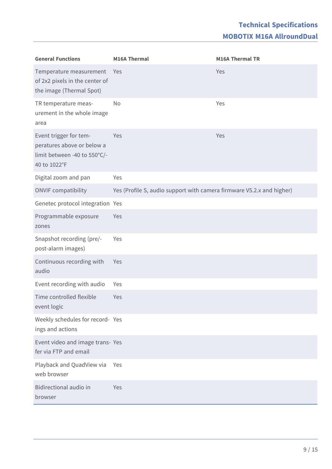| <b>General Functions</b>                                                                             | <b>M16A Thermal</b>                                                   | <b>M16A Thermal TR</b> |
|------------------------------------------------------------------------------------------------------|-----------------------------------------------------------------------|------------------------|
| Temperature measurement<br>of 2x2 pixels in the center of<br>the image (Thermal Spot)                | Yes                                                                   | Yes                    |
| TR temperature meas-<br>urement in the whole image<br>area                                           | No                                                                    | Yes                    |
| Event trigger for tem-<br>peratures above or below a<br>limit between -40 to 550°C/-<br>40 to 1022°F | Yes                                                                   | Yes                    |
| Digital zoom and pan                                                                                 | Yes                                                                   |                        |
| <b>ONVIF compatibility</b>                                                                           | Yes (Profile S, audio support with camera firmware V5.2.x and higher) |                        |
| Genetec protocol integration Yes                                                                     |                                                                       |                        |
| Programmable exposure<br>zones                                                                       | Yes                                                                   |                        |
| Snapshot recording (pre/-<br>post-alarm images)                                                      | Yes                                                                   |                        |
| Continuous recording with<br>audio                                                                   | Yes                                                                   |                        |
| Event recording with audio                                                                           | Yes                                                                   |                        |
| Time controlled flexible<br>event logic                                                              | Yes                                                                   |                        |
| Weekly schedules for record- Yes<br>ings and actions                                                 |                                                                       |                        |
| Event video and image trans- Yes<br>fer via FTP and email                                            |                                                                       |                        |
| Playback and QuadView via<br>web browser                                                             | Yes                                                                   |                        |
| Bidirectional audio in<br>browser                                                                    | Yes                                                                   |                        |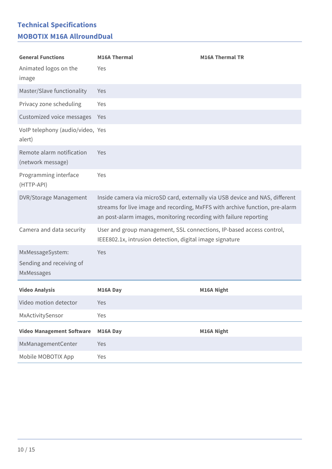## **Technical Specifications MOBOTIX M16A AllroundDual**

| <b>General Functions</b>                                   | <b>M16A Thermal</b>                                                                                                                                                                                                               | <b>M16A Thermal TR</b> |
|------------------------------------------------------------|-----------------------------------------------------------------------------------------------------------------------------------------------------------------------------------------------------------------------------------|------------------------|
| Animated logos on the<br>image                             | Yes                                                                                                                                                                                                                               |                        |
| Master/Slave functionality                                 | Yes                                                                                                                                                                                                                               |                        |
| Privacy zone scheduling                                    | Yes                                                                                                                                                                                                                               |                        |
| Customized voice messages                                  | Yes                                                                                                                                                                                                                               |                        |
| VoIP telephony (audio/video, Yes<br>alert)                 |                                                                                                                                                                                                                                   |                        |
| Remote alarm notification<br>(network message)             | Yes                                                                                                                                                                                                                               |                        |
| Programming interface<br>(HTTP-API)                        | Yes                                                                                                                                                                                                                               |                        |
| <b>DVR/Storage Management</b>                              | Inside camera via microSD card, externally via USB device and NAS, different<br>streams for live image and recording, MxFFS with archive function, pre-alarm<br>an post-alarm images, monitoring recording with failure reporting |                        |
| Camera and data security                                   | User and group management, SSL connections, IP-based access control,<br>IEEE802.1x, intrusion detection, digital image signature                                                                                                  |                        |
| MxMessageSystem:<br>Sending and receiving of<br>MxMessages | Yes                                                                                                                                                                                                                               |                        |
| <b>Video Analysis</b>                                      | M16A Day                                                                                                                                                                                                                          | M16A Night             |
| Video motion detector                                      | Yes                                                                                                                                                                                                                               |                        |
| MxActivitySensor                                           | Yes                                                                                                                                                                                                                               |                        |
| <b>Video Management Software</b>                           | M16A Day                                                                                                                                                                                                                          | M16A Night             |
| MxManagementCenter                                         | Yes                                                                                                                                                                                                                               |                        |
| Mobile MOBOTIX App                                         | Yes                                                                                                                                                                                                                               |                        |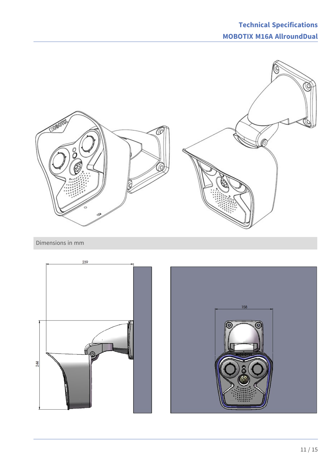

Dimensions in mm



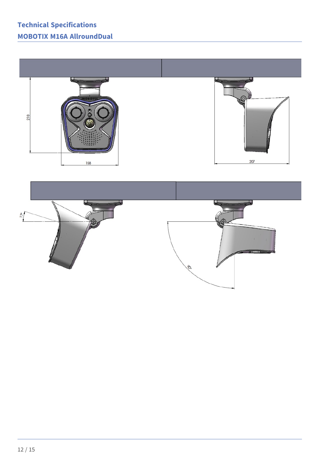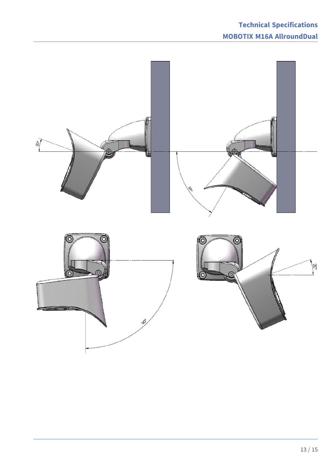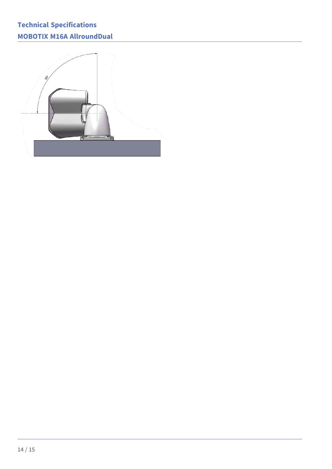